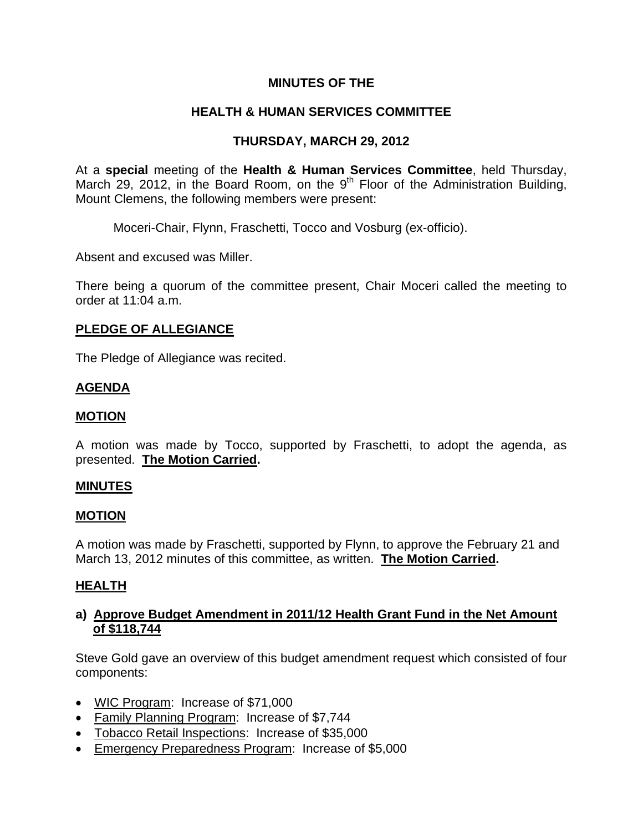# **MINUTES OF THE**

# **HEALTH & HUMAN SERVICES COMMITTEE**

# **THURSDAY, MARCH 29, 2012**

At a **special** meeting of the **Health & Human Services Committee**, held Thursday, March 29, 2012, in the Board Room, on the 9<sup>th</sup> Floor of the Administration Building, Mount Clemens, the following members were present:

Moceri-Chair, Flynn, Fraschetti, Tocco and Vosburg (ex-officio).

Absent and excused was Miller.

There being a quorum of the committee present, Chair Moceri called the meeting to order at 11:04 a.m.

#### **PLEDGE OF ALLEGIANCE**

The Pledge of Allegiance was recited.

#### **AGENDA**

#### **MOTION**

A motion was made by Tocco, supported by Fraschetti, to adopt the agenda, as presented. **The Motion Carried.** 

#### **MINUTES**

#### **MOTION**

A motion was made by Fraschetti, supported by Flynn, to approve the February 21 and March 13, 2012 minutes of this committee, as written. **The Motion Carried.** 

## **HEALTH**

## **a) Approve Budget Amendment in 2011/12 Health Grant Fund in the Net Amount of \$118,744**

Steve Gold gave an overview of this budget amendment request which consisted of four components:

- WIC Program: Increase of \$71,000
- Family Planning Program: Increase of \$7,744
- Tobacco Retail Inspections: Increase of \$35,000
- Emergency Preparedness Program: Increase of \$5,000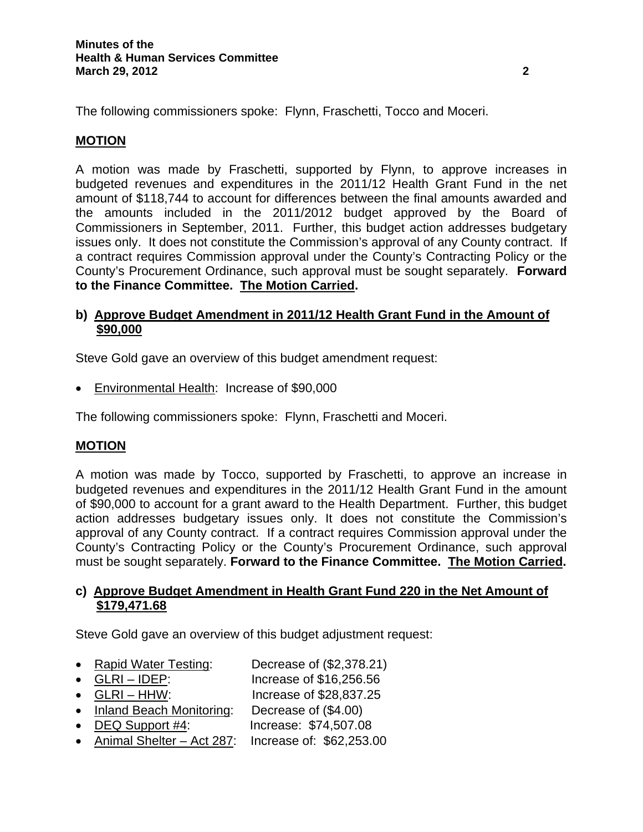The following commissioners spoke: Flynn, Fraschetti, Tocco and Moceri.

# **MOTION**

A motion was made by Fraschetti, supported by Flynn, to approve increases in budgeted revenues and expenditures in the 2011/12 Health Grant Fund in the net amount of \$118,744 to account for differences between the final amounts awarded and the amounts included in the 2011/2012 budget approved by the Board of Commissioners in September, 2011. Further, this budget action addresses budgetary issues only. It does not constitute the Commission's approval of any County contract. If a contract requires Commission approval under the County's Contracting Policy or the County's Procurement Ordinance, such approval must be sought separately. **Forward to the Finance Committee. The Motion Carried.** 

## **b) Approve Budget Amendment in 2011/12 Health Grant Fund in the Amount of \$90,000**

Steve Gold gave an overview of this budget amendment request:

• Environmental Health: Increase of \$90,000

The following commissioners spoke: Flynn, Fraschetti and Moceri.

## **MOTION**

A motion was made by Tocco, supported by Fraschetti, to approve an increase in budgeted revenues and expenditures in the 2011/12 Health Grant Fund in the amount of \$90,000 to account for a grant award to the Health Department. Further, this budget action addresses budgetary issues only. It does not constitute the Commission's approval of any County contract. If a contract requires Commission approval under the County's Contracting Policy or the County's Procurement Ordinance, such approval must be sought separately. **Forward to the Finance Committee. The Motion Carried.** 

## **c) Approve Budget Amendment in Health Grant Fund 220 in the Net Amount of \$179,471.68**

Steve Gold gave an overview of this budget adjustment request:

- Rapid Water Testing: Decrease of (\$2,378.21)
- 

• GLRI – IDEP: Increase of \$16,256.56

- GLRI HHW: Increase of \$28,837.25
- Inland Beach Monitoring: Decrease of (\$4.00)
- DEQ Support #4: Increase: \$74,507.08
- Animal Shelter Act 287: Increase of: \$62,253.00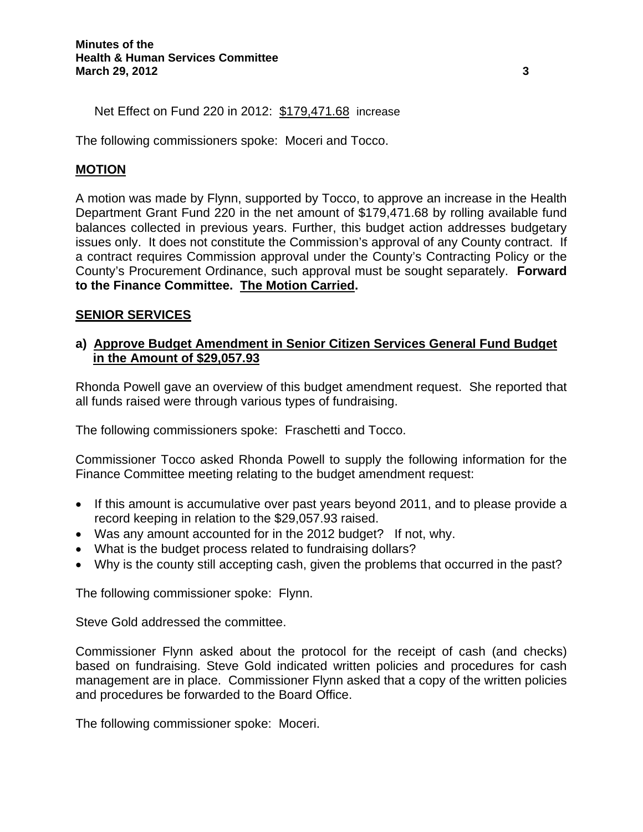Net Effect on Fund 220 in 2012: \$179,471.68 increase

The following commissioners spoke: Moceri and Tocco.

## **MOTION**

A motion was made by Flynn, supported by Tocco, to approve an increase in the Health Department Grant Fund 220 in the net amount of \$179,471.68 by rolling available fund balances collected in previous years. Further, this budget action addresses budgetary issues only. It does not constitute the Commission's approval of any County contract. If a contract requires Commission approval under the County's Contracting Policy or the County's Procurement Ordinance, such approval must be sought separately. **Forward to the Finance Committee. The Motion Carried.** 

#### **SENIOR SERVICES**

#### **a) Approve Budget Amendment in Senior Citizen Services General Fund Budget in the Amount of \$29,057.93**

Rhonda Powell gave an overview of this budget amendment request. She reported that all funds raised were through various types of fundraising.

The following commissioners spoke: Fraschetti and Tocco.

Commissioner Tocco asked Rhonda Powell to supply the following information for the Finance Committee meeting relating to the budget amendment request:

- If this amount is accumulative over past years beyond 2011, and to please provide a record keeping in relation to the \$29,057.93 raised.
- Was any amount accounted for in the 2012 budget? If not, why.
- What is the budget process related to fundraising dollars?
- Why is the county still accepting cash, given the problems that occurred in the past?

The following commissioner spoke: Flynn.

Steve Gold addressed the committee.

Commissioner Flynn asked about the protocol for the receipt of cash (and checks) based on fundraising. Steve Gold indicated written policies and procedures for cash management are in place. Commissioner Flynn asked that a copy of the written policies and procedures be forwarded to the Board Office.

The following commissioner spoke: Moceri.